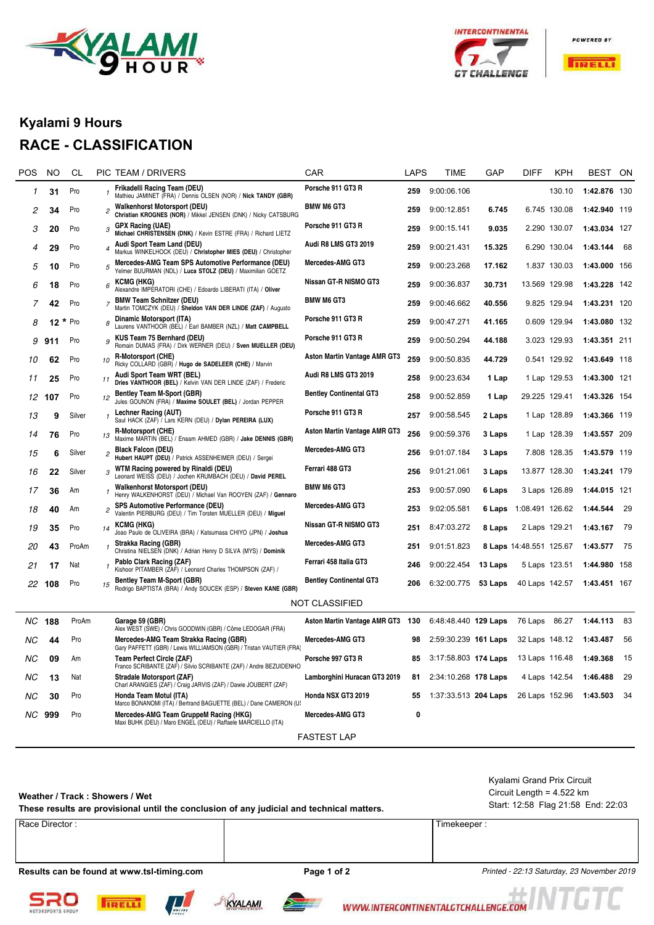



**POWERED BY** 



### **Kyalami 9 Hours**

## **RACE - CLASSIFICATION**

| POS | NO     | CL      |                          | PIC TEAM / DRIVERS                                                                                                                                                 | <b>CAR</b>                          | <b>LAPS</b> | TIME                                   | GAP     | <b>DIFF</b>             | <b>KPH</b>    | BEST         | ON   |
|-----|--------|---------|--------------------------|--------------------------------------------------------------------------------------------------------------------------------------------------------------------|-------------------------------------|-------------|----------------------------------------|---------|-------------------------|---------------|--------------|------|
| 1   | 31     | Pro     |                          | Frikadelli Racing Team (DEU)<br>Mathieu JAMINET (FRA) / Dennis OLSEN (NOR) / Nick TANDY (GBR)                                                                      | Porsche 911 GT3 R                   | 259         | 9:00:06.106                            |         |                         | 130.10        | 1:42.876 130 |      |
| 2   | 34     | Pro     | $\overline{\mathcal{L}}$ | <b>Walkenhorst Motorsport (DEU)</b><br>Christian KROGNES (NOR) / Mikkel JENSEN (DNK) / Nicky CATSBURG                                                              | <b>BMW M6 GT3</b>                   | 259         | 9:00:12.851                            | 6.745   |                         | 6.745 130.08  | 1:42.940 119 |      |
| 3   | 20     | Pro     |                          | <b>GPX Racing (UAE)</b><br>Michael CHRISTENSEN (DNK) / Kevin ESTRE (FRA) / Richard LIETZ                                                                           | Porsche 911 GT3 R                   | 259         | 9:00:15.141                            | 9.035   |                         | 2.290 130.07  | 1:43.034 127 |      |
| 4   | 29     | Pro     | 4                        | Audi Sport Team Land (DEU)<br>Markus WINKELHOCK (DEU) / Christopher MIES (DEU) / Christopher                                                                       | Audi R8 LMS GT3 2019                | 259         | 9:00:21.431                            | 15.325  |                         | 6.290 130.04  | 1:43.144     | 68   |
| 5   | 10     | Pro     | 5                        | Mercedes-AMG Team SPS Automotive Performance (DEU)<br>Yelmer BUURMAN (NDL) / Luca STOLZ (DEU) / Maximilian GOETZ                                                   | Mercedes-AMG GT3                    | 259         | 9:00:23.268                            | 17.162  |                         | 1.837 130.03  | 1:43.000 156 |      |
| 6   | 18     | Pro     | 6                        | <b>KCMG (HKG)</b><br>Alexandre IMPERATORI (CHE) / Edoardo LIBERATI (ITA) / Oliver                                                                                  | Nissan GT-R NISMO GT3               | 259         | 9:00:36.837                            | 30.731  |                         | 13.569 129.98 | 1:43.228 142 |      |
| 7   | 42     | Pro     |                          | <b>BMW Team Schnitzer (DEU)</b><br>Martin TOMCZYK (DEU) / Sheldon VAN DER LINDE (ZAF) / Augusto                                                                    | <b>BMW M6 GT3</b>                   | 259         | 9:00:46.662                            | 40.556  |                         | 9.825 129.94  | 1:43.231 120 |      |
| 8   | 12     | $*$ Pro |                          | Dinamic Motorsport (ITA)<br>Laurens VANTHOOR (BEL) / Earl BAMBER (NZL) / Matt CAMPBELL                                                                             | Porsche 911 GT3 R                   | 259         | 9:00:47.271                            | 41.165  |                         | 0.609 129.94  | 1:43.080 132 |      |
| 9   | 911    | Pro     | 9                        | KUS Team 75 Bernhard (DEU)<br>Romain DUMAS (FRA) / Dirk WERNER (DEU) / Sven MUELLER (DEU)                                                                          | Porsche 911 GT3 R                   | 259         | 9:00:50.294                            | 44.188  |                         | 3.023 129.93  | 1:43.351 211 |      |
| 10  | 62     | Pro     | 10                       | R-Motorsport (CHE)<br>Ricky COLLARD (GBR) / Hugo de SADELEER (CHE) / Marvin                                                                                        | Aston Martin Vantage AMR GT3        | 259         | 9:00:50.835                            | 44.729  |                         | 0.541 129.92  | 1:43.649 118 |      |
| 11  | 25     | Pro     | 11                       | Audi Sport Team WRT (BEL)<br>Dries VANTHOOR (BEL) / Kelvin VAN DER LINDE (ZAF) / Frederic                                                                          | <b>Audi R8 LMS GT3 2019</b>         | 258         | 9:00:23.634                            | 1 Lap   |                         | 1 Lap 129.53  | 1:43.300 121 |      |
|     | 12 107 | Pro     | 12                       | Bentley Team M-Sport (GBR)<br>Jules GOUNON (FRA) / Maxime SOULET (BEL) / Jordan PEPPER                                                                             | <b>Bentley Continental GT3</b>      | 258         | 9:00:52.859                            | 1 Lap   | 29.225 129.41           |               | 1:43.326 154 |      |
| 13  | 9      | Silver  |                          | Lechner Racing (AUT)<br>Saul HACK (ZAF) / Lars KERN (DEU) / Dylan PEREIRA (LUX)                                                                                    | Porsche 911 GT3 R                   | 257         | 9:00:58.545                            | 2 Laps  |                         | 1 Lap 128.89  | 1:43.366 119 |      |
| 14  | 76     | Pro     | 13                       | <b>R-Motorsport (CHE)</b><br>Maxime MARTIN (BEL) / Enaam AHMED (GBR) / Jake DENNIS (GBR)                                                                           | <b>Aston Martin Vantage AMR GT3</b> | 256         | 9:00:59.376                            | 3 Laps  |                         | 1 Lap 128.39  | 1:43.557 209 |      |
| 15  | 6      | Silver  |                          | Black Falcon (DEU)<br>Hubert HAUPT (DEU) / Patrick ASSENHEIMER (DEU) / Sergei                                                                                      | Mercedes-AMG GT3                    | 256         | 9:01:07.184                            | 3 Laps  |                         | 7.808 128.35  | 1:43.579 119 |      |
| 16  | 22     | Silver  |                          | WTM Racing powered by Rinaldi (DEU)<br>Leonard WEISS (DEU) / Jochen KRUMBACH (DEU) / David PEREL                                                                   | Ferrari 488 GT3                     | 256         | 9:01:21.061                            | 3 Laps  | 13.877 128.30           |               | 1:43.241 179 |      |
| 17  | 36     | Am      |                          | Walkenhorst Motorsport (DEU)<br>Henry WALKENHORST (DEU) / Michael Van ROOYEN (ZAF) / Gennaro                                                                       | <b>BMW M6 GT3</b>                   | 253         | 9:00:57.090                            | 6 Laps  |                         | 3 Laps 126.89 | 1:44.015 121 |      |
| 18  | 40     | Am      | 2                        | SPS Automotive Performance (DEU)<br>Valentin PIERBURG (DEU) / Tim Torsten MUELLER (DEU) / Miguel                                                                   | Mercedes-AMG GT3                    | 253         | 9:02:05.581                            | 6 Laps  | 1:08.491 126.62         |               | 1:44.544     | -29  |
| 19  | 35     | Pro     | 14                       | <b>KCMG (HKG)</b><br>Joao Paulo de OLIVEIRA (BRA) / Katsumasa CHIYO (JPN) / Joshua                                                                                 | Nissan GT-R NISMO GT3               | 251         | 8:47:03.272                            | 8 Laps  | 2 Laps 129.21           |               | 1:43.167     | - 79 |
| 20  | 43     | ProAm   |                          | Strakka Racing (GBR)<br>Christina NIELSEN (DNK) / Adrian Henry D SILVA (MYS) / Dominik                                                                             | Mercedes-AMG GT3                    | 251         | 9:01:51.823                            |         | 8 Laps 14:48.551 125.67 |               | 1:43.577     | - 75 |
| 21  | 17     | Nat     |                          | Pablo Clark Racing (ZAF)<br>Kishoor PITAMBER (ZAF) / Leonard Charles THOMPSON (ZAF) /                                                                              | Ferrari 458 Italia GT3              | 246         | 9:00:22.454                            | 13 Laps | 5 Laps 123.51           |               | 1:44.980 158 |      |
|     | 22 108 | Pro     | 15                       | Bentley Team M-Sport (GBR)<br>Rodrigo BAPTISTA (BRA) / Andy SOUCEK (ESP) / Steven KANE (GBR)                                                                       | <b>Bentley Continental GT3</b>      | 206         | 6:32:00.775 53 Laps                    |         | 40 Laps 142.57          |               | 1:43.451 167 |      |
|     |        |         |                          |                                                                                                                                                                    | NOT CLASSIFIED                      |             |                                        |         |                         |               |              |      |
|     | NC 188 | ProAm   |                          | Garage 59 (GBR)<br>Alex WEST (SWE) / Chris GOODWIN (GBR) / Côme LEDOGAR (FRA)                                                                                      | Aston Martin Vantage AMR GT3 130    |             | 6:48:48.440 129 Laps                   |         | 76 Laps 86.27           |               | 1:44.113     | - 83 |
| ΝC  | 44     | Pro     |                          | Mercedes-AMG Team Strakka Racing (GBR)<br>Gary PAFFETT (GBR) / Lewis WILLIAMSON (GBR) / Tristan VAUTIER (FRA)                                                      | Mercedes-AMG GT3                    | 98          | 2:59:30.239 161 Laps                   |         | 32 Laps 148.12          |               | 1:43.487     | 56   |
| ΝC  | 09     | Am      |                          | <b>Team Perfect Circle (ZAF)</b>                                                                                                                                   | Porsche 997 GT3 R                   |             | 85 3:17:58.803 174 Laps 13 Laps 116.48 |         |                         |               | 1:49.368 15  |      |
| NС  | 13     | Nat     |                          | Franco SCRIBANTE (ZAF) / Silvio SCRIBANTE (ZAF) / Andre BEZUIDENHO<br>Stradale Motorsport (ZAF)<br>Charl ARANGIES (ZAF) / Craig JARVIS (ZAF) / Dawie JOUBERT (ZAF) | Lamborghini Huracan GT3 2019        |             | 81 2:34:10.268 178 Laps                |         |                         | 4 Laps 142.54 | 1:46.488 29  |      |
| NС  | 30     | Pro     |                          | Honda Team Motul (ITA)<br>Marco BONANOMI (ITA) / Bertrand BAGUETTE (BEL) / Dane CAMERON (U!                                                                        | Honda NSX GT3 2019                  | 55          | 1:37:33.513 204 Laps                   |         | 26 Laps 152.96          |               | 1:43.503 34  |      |
|     | NC 999 | Pro     |                          | Mercedes-AMG Team GruppeM Racing (HKG)<br>Maxi BUHK (DEU) / Maro ENGEL (DEU) / Raffaele MARCIELLO (ITA)                                                            | Mercedes-AMG GT3                    | 0           |                                        |         |                         |               |              |      |
|     |        |         |                          |                                                                                                                                                                    | <b>FASTEST LAP</b>                  |             |                                        |         |                         |               |              |      |

#### **Weather / Track : Showers / Wet**

**These results are provisional until the conclusion of any judicial and technical matters.** Start: 12:58 Flag 21:58 End: 22:03

Circuit Length = 4.522 km Kyalami Grand Prix Circuit

| – |  |
|---|--|
|   |  |

Results can be found at www.tsl-timing.com **Page 1 of 2** Printed - 22:13 Saturday, 23 November 2019









WWW.INTERCONTINENTALGTCHALLENGE.COM